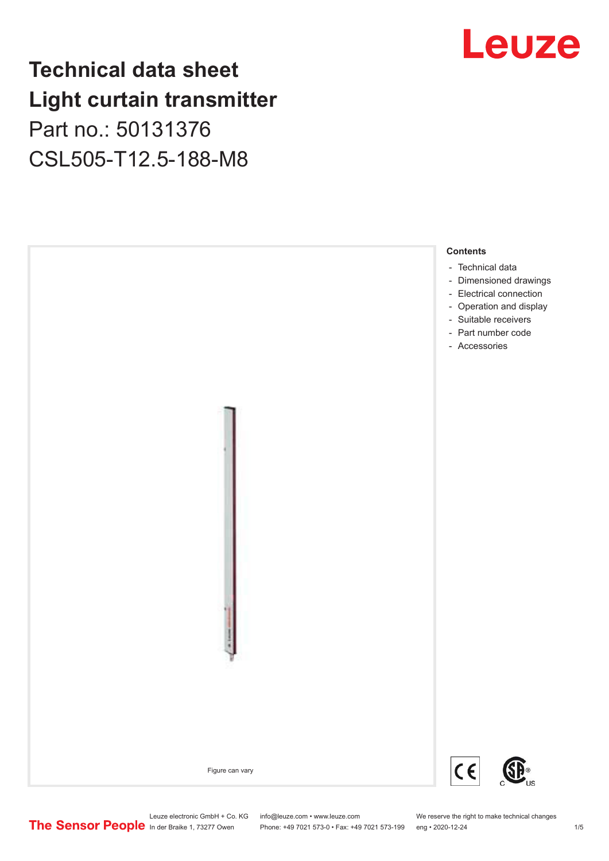# **Technical data sheet Light curtain transmitter** Part no.: 50131376

CSL505-T12.5-188-M8





Leuze electronic GmbH + Co. KG info@leuze.com • www.leuze.com We reserve the right to make technical changes<br>
The Sensor People in der Braike 1, 73277 Owen Phone: +49 7021 573-0 • Fax: +49 7021 573-199 eng • 2020-12-24

Phone: +49 7021 573-0 • Fax: +49 7021 573-199 eng • 2020-12-24 1 2020-12-24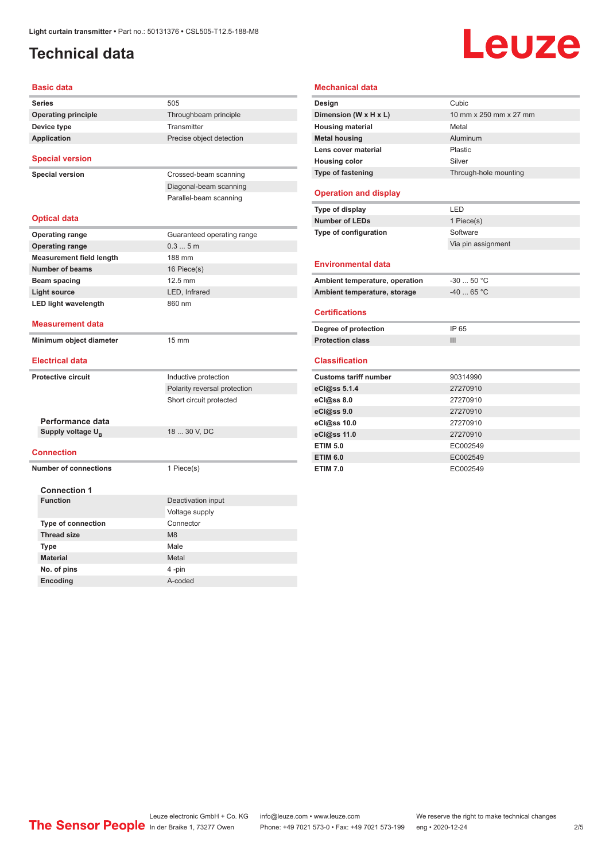# <span id="page-1-0"></span>**Technical data**

# Leuze

| <b>Basic data</b>               |                              |  |  |
|---------------------------------|------------------------------|--|--|
| <b>Series</b>                   | 505                          |  |  |
| <b>Operating principle</b>      | Throughbeam principle        |  |  |
| Device type                     | Transmitter                  |  |  |
| Application                     | Precise object detection     |  |  |
| <b>Special version</b>          |                              |  |  |
| <b>Special version</b>          | Crossed-beam scanning        |  |  |
|                                 | Diagonal-beam scanning       |  |  |
|                                 | Parallel-beam scanning       |  |  |
| <b>Optical data</b>             |                              |  |  |
| <b>Operating range</b>          | Guaranteed operating range   |  |  |
| <b>Operating range</b>          | 0.35m                        |  |  |
| <b>Measurement field length</b> | 188 mm                       |  |  |
| Number of beams                 | 16 Piece(s)                  |  |  |
| Beam spacing                    | 12.5 mm                      |  |  |
| <b>Light source</b>             | LED, Infrared                |  |  |
| <b>LED light wavelength</b>     | 860 nm                       |  |  |
| <b>Measurement data</b>         |                              |  |  |
|                                 |                              |  |  |
| Minimum object diameter         | 15 mm                        |  |  |
| <b>Electrical data</b>          |                              |  |  |
| <b>Protective circuit</b>       | Inductive protection         |  |  |
|                                 | Polarity reversal protection |  |  |
|                                 | Short circuit protected      |  |  |
|                                 |                              |  |  |
| Performance data                |                              |  |  |
| Supply voltage U <sub>B</sub>   | 18  30 V, DC                 |  |  |
| <b>Connection</b>               |                              |  |  |
| <b>Number of connections</b>    | 1 Piece(s)                   |  |  |
| <b>Connection 1</b>             |                              |  |  |
| <b>Function</b>                 | Deactivation input           |  |  |
|                                 | Voltage supply               |  |  |
| Type of connection              | Connector                    |  |  |
| <b>Thread size</b>              | M <sub>8</sub>               |  |  |
| <b>Type</b>                     | Male                         |  |  |
| <b>Material</b>                 | Metal                        |  |  |
| No. of pins                     | 4-pin                        |  |  |

| <b>Mechanical data</b>         |                        |
|--------------------------------|------------------------|
| Design                         | Cubic                  |
| Dimension (W x H x L)          | 10 mm x 250 mm x 27 mm |
| <b>Housing material</b>        | Metal                  |
| <b>Metal housing</b>           | Aluminum               |
| Lens cover material            | Plastic                |
| <b>Housing color</b>           | Silver                 |
| Type of fastening              | Through-hole mounting  |
| <b>Operation and display</b>   |                        |
| Type of display                | LED                    |
| <b>Number of LEDs</b>          | 1 Piece(s)             |
| <b>Type of configuration</b>   | Software               |
|                                | Via pin assignment     |
| <b>Environmental data</b>      |                        |
| Ambient temperature, operation | $-30$ 50 °C            |
| Ambient temperature, storage   | $-4065 °C$             |
| <b>Certifications</b>          |                        |
| Degree of protection           | IP 65                  |
| <b>Protection class</b>        | III                    |
| <b>Classification</b>          |                        |
| <b>Customs tariff number</b>   | 90314990               |
| eCl@ss 5.1.4                   | 27270910               |
| eCl@ss 8.0                     | 27270910               |
| eCl@ss 9.0                     | 27270910               |
| eCl@ss 10.0                    | 27270910               |
| eCl@ss 11.0                    | 27270910               |
| <b>ETIM 5.0</b>                | EC002549               |
| <b>ETIM 6.0</b>                | EC002549               |
| <b>ETIM 7.0</b>                | EC002549               |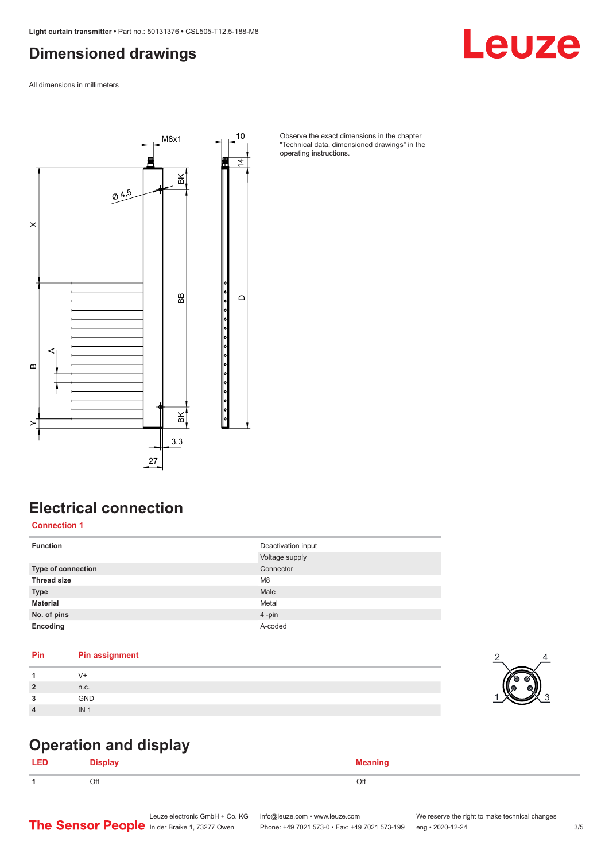## <span id="page-2-0"></span>**Dimensioned drawings**

Leuze

All dimensions in millimeters



Observe the exact dimensions in the chapter "Technical data, dimensioned drawings" in the operating instructions.

# **Electrical connection**

**Connection 1**

| <b>Function</b>    | Deactivation input<br>Voltage supply |
|--------------------|--------------------------------------|
| Type of connection | Connector                            |
| <b>Thread size</b> | M <sub>8</sub>                       |
| <b>Type</b>        | Male                                 |
| <b>Material</b>    | Metal                                |
| No. of pins        | 4-pin                                |
| Encoding           | A-coded                              |

#### **Pin Pin assignment**

| $\overline{2}$<br>n.c.  |  |
|-------------------------|--|
| <b>GND</b><br>ຳ<br>- 14 |  |
| IN<br>$\overline{4}$    |  |



## **Operation and display**

| <b>LED</b>     | --<br><b>Display</b> | <b>Moanir</b> |
|----------------|----------------------|---------------|
| $\overline{A}$ | Off                  | Off           |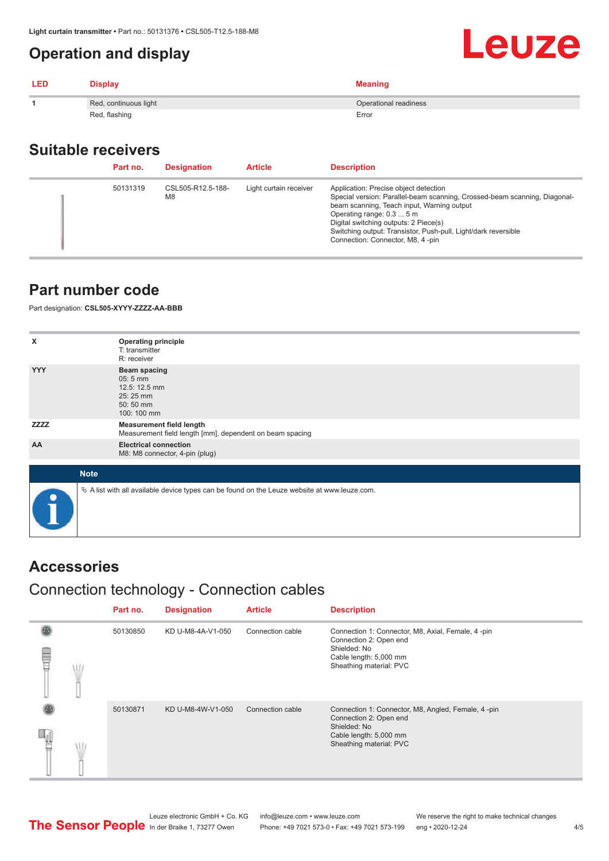## <span id="page-3-0"></span>**Operation and display**

| <b>LED</b> | <b>Display</b>        | <b>Meaning</b>        |
|------------|-----------------------|-----------------------|
|            | Red, continuous light | Operational readiness |
|            | Red, flashing         | Error                 |

#### **Suitable receivers**

| Part no. | <b>Designation</b>                  | <b>Article</b>         | <b>Description</b>                                                                                                                                                                                                                                                                                                                           |
|----------|-------------------------------------|------------------------|----------------------------------------------------------------------------------------------------------------------------------------------------------------------------------------------------------------------------------------------------------------------------------------------------------------------------------------------|
| 50131319 | CSL505-R12.5-188-<br>M <sub>8</sub> | Light curtain receiver | Application: Precise object detection<br>Special version: Parallel-beam scanning, Crossed-beam scanning, Diagonal-<br>beam scanning, Teach input, Warning output<br>Operating range: 0.3  5 m<br>Digital switching outputs: 2 Piece(s)<br>Switching output: Transistor, Push-pull, Light/dark reversible<br>Connection: Connector, M8, 4-pin |

#### **Part number code**

Part designation: **CSL505-XYYY-ZZZZ-AA-BBB**

| x           | <b>Operating principle</b><br>T: transmitter                                                    |
|-------------|-------------------------------------------------------------------------------------------------|
|             | R: receiver                                                                                     |
| <b>YYY</b>  | <b>Beam spacing</b><br>05:5 mm<br>12.5: 12.5 mm<br>25:25 mm<br>50:50 mm<br>100: 100 mm          |
| <b>ZZZZ</b> | <b>Measurement field length</b><br>Measurement field length [mm], dependent on beam spacing     |
| AA          | <b>Electrical connection</b><br>M8: M8 connector, 4-pin (plug)                                  |
|             |                                                                                                 |
| <b>Note</b> |                                                                                                 |
| $\bullet$   | $\&$ A list with all available device types can be found on the Leuze website at www.leuze.com. |

#### **Accessories**

# Connection technology - Connection cables

|   | Part no. | <b>Designation</b> | <b>Article</b>   | <b>Description</b>                                                                                                                                |
|---|----------|--------------------|------------------|---------------------------------------------------------------------------------------------------------------------------------------------------|
| ₩ | 50130850 | KD U-M8-4A-V1-050  | Connection cable | Connection 1: Connector, M8, Axial, Female, 4-pin<br>Connection 2: Open end<br>Shielded: No<br>Cable length: 5,000 mm<br>Sheathing material: PVC  |
|   | 50130871 | KD U-M8-4W-V1-050  | Connection cable | Connection 1: Connector, M8, Angled, Female, 4-pin<br>Connection 2: Open end<br>Shielded: No<br>Cable length: 5,000 mm<br>Sheathing material: PVC |

Leuze